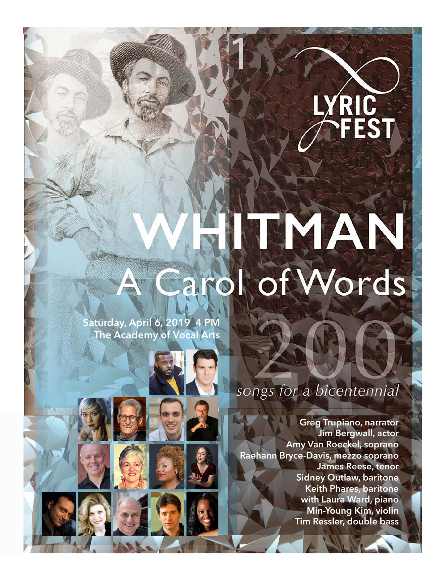

# MAN arol of Words

1

**Saturday, April 6, 2019 4 PM The Academy of Vocal Arts**

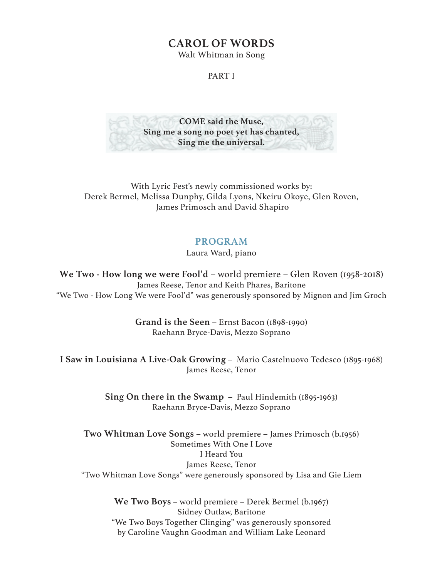## **CAROL OF WORDS**

Walt Whitman in Song

#### PART I



With Lyric Fest's newly commissioned works by: Derek Bermel, Melissa Dunphy, Gilda Lyons, Nkeiru Okoye, Glen Roven, James Primosch and David Shapiro

### **PROGRAM**

Laura Ward, piano

**We Two - How long we were Fool'd** – world premiere – Glen Roven (1958-2018) James Reese, Tenor and Keith Phares, Baritone "We Two - How Long We were Fool'd" was generously sponsored by Mignon and Jim Groch

> **Grand is the Seen** – Ernst Bacon (1898-1990) Raehann Bryce-Davis, Mezzo Soprano

**I Saw in Louisiana A Live-Oak Growing** – Mario Castelnuovo Tedesco (1895-1968) James Reese, Tenor

> **Sing On there in the Swamp** – Paul Hindemith (1895-1963) Raehann Bryce-Davis, Mezzo Soprano

**Two Whitman Love Songs** – world premiere – James Primosch (b.1956) Sometimes With One I Love I Heard You James Reese, Tenor "Two Whitman Love Songs" were generously sponsored by Lisa and Gie Liem

> **We Two Boys** – world premiere – Derek Bermel (b.1967) Sidney Outlaw, Baritone "We Two Boys Together Clinging" was generously sponsored by Caroline Vaughn Goodman and William Lake Leonard